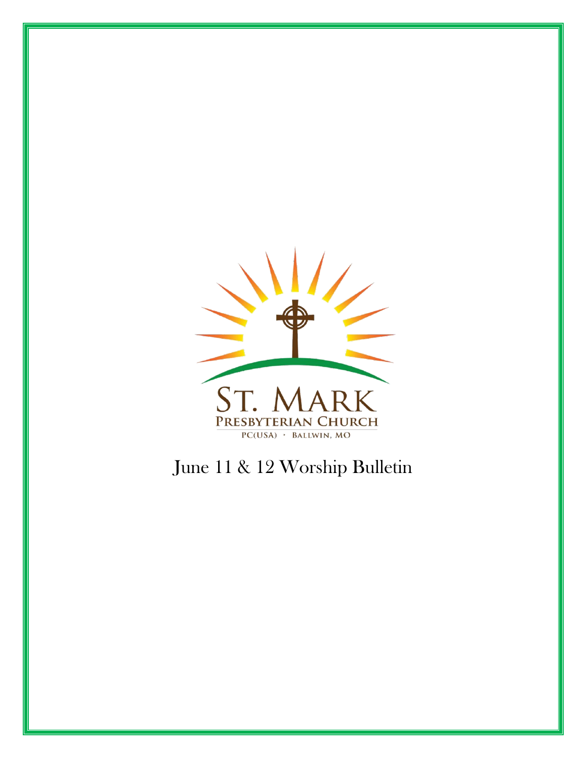

# June 11 & 12 Worship Bulletin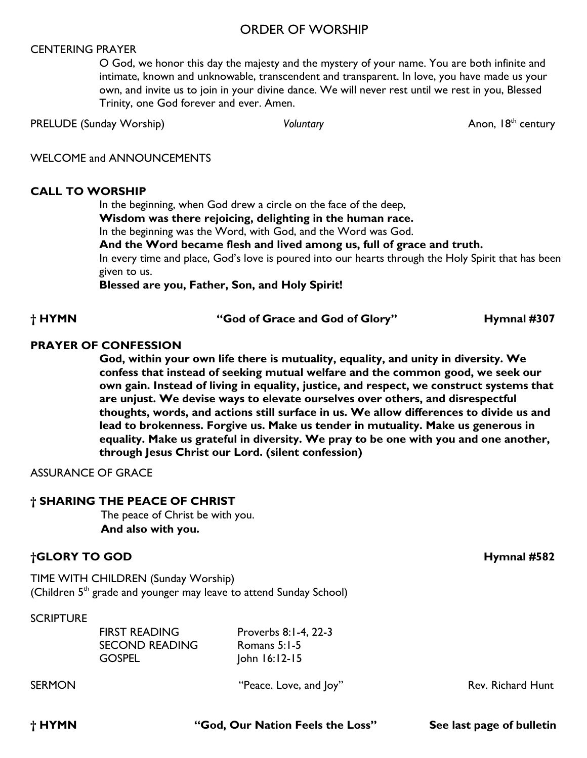#### ORDER OF WORSHIP

#### CENTERING PRAYER

O God, we honor this day the majesty and the mystery of your name. You are both infinite and intimate, known and unknowable, transcendent and transparent. In love, you have made us your own, and invite us to join in your divine dance. We will never rest until we rest in you, Blessed Trinity, one God forever and ever. Amen.

PRELUDE (Sunday Worship) *Voluntary Voluntary* Anon, 18<sup>th</sup> century

WELCOME and ANNOUNCEMENTS

#### **CALL TO WORSHIP**

In the beginning, when God drew a circle on the face of the deep, **Wisdom was there rejoicing, delighting in the human race.**  In the beginning was the Word, with God, and the Word was God. **And the Word became flesh and lived among us, full of grace and truth.**  In every time and place, God's love is poured into our hearts through the Holy Spirit that has been given to us.

**Blessed are you, Father, Son, and Holy Spirit!**

**† HYMN "God of Grace and God of Glory" Hymnal #307**

#### **PRAYER OF CONFESSION**

**God, within your own life there is mutuality, equality, and unity in diversity. We confess that instead of seeking mutual welfare and the common good, we seek our own gain. Instead of living in equality, justice, and respect, we construct systems that are unjust. We devise ways to elevate ourselves over others, and disrespectful thoughts, words, and actions still surface in us. We allow differences to divide us and lead to brokenness. Forgive us. Make us tender in mutuality. Make us generous in equality. Make us grateful in diversity. We pray to be one with you and one another, through Jesus Christ our Lord. (silent confession)** 

ASSURANCE OF GRACE

#### **† SHARING THE PEACE OF CHRIST**

The peace of Christ be with you. **And also with you.**

#### **†GLORY TO GOD Hymnal #582**

TIME WITH CHILDREN (Sunday Worship) (Children  $5<sup>th</sup>$  grade and younger may leave to attend Sunday School)

#### **SCRIPTURE**

| <b>FIRST READING</b>  | Proverbs 8:1-4, 22-3 |  |
|-----------------------|----------------------|--|
| <b>SECOND READING</b> | Romans 5:1-5         |  |
| <b>GOSPEL</b>         | $John 16:12-15$      |  |

SERMON **EXAMON** "Peace. Love, and Joy" Rev. Richard Hunt

**† HYMN "God, Our Nation Feels the Loss"****See last page of bulletin**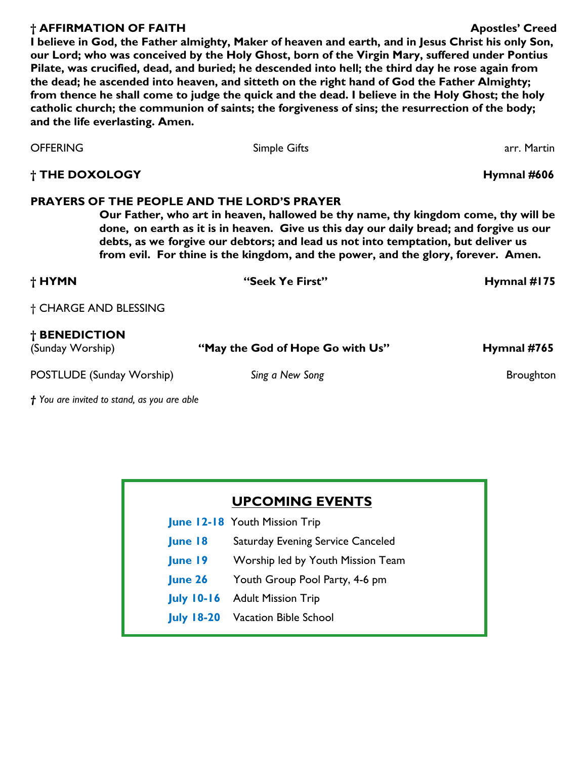#### **† AFFIRMATION OF FAITH Apostles' Creed**

**I believe in God, the Father almighty, Maker of heaven and earth, and in Jesus Christ his only Son, our Lord; who was conceived by the Holy Ghost, born of the Virgin Mary, suffered under Pontius Pilate, was crucified, dead, and buried; he descended into hell; the third day he rose again from the dead; he ascended into heaven, and sitteth on the right hand of God the Father Almighty; from thence he shall come to judge the quick and the dead. I believe in the Holy Ghost; the holy catholic church; the communion of saints; the forgiveness of sins; the resurrection of the body; and the life everlasting. Amen.** 

| <b>OFFERING</b>                                                                                                                                                                                                                                                                                                                                                                                               |                           | <b>Simple Gifts</b>              | arr. Martin      |  |
|---------------------------------------------------------------------------------------------------------------------------------------------------------------------------------------------------------------------------------------------------------------------------------------------------------------------------------------------------------------------------------------------------------------|---------------------------|----------------------------------|------------------|--|
| <b>† THE DOXOLOGY</b>                                                                                                                                                                                                                                                                                                                                                                                         |                           |                                  | Hymnal #606      |  |
| <b>PRAYERS OF THE PEOPLE AND THE LORD'S PRAYER</b><br>Our Father, who art in heaven, hallowed be thy name, thy kingdom come, thy will be<br>done, on earth as it is in heaven. Give us this day our daily bread; and forgive us our<br>debts, as we forgive our debtors; and lead us not into temptation, but deliver us<br>from evil. For thine is the kingdom, and the power, and the glory, forever. Amen. |                           |                                  |                  |  |
| † HYMN                                                                                                                                                                                                                                                                                                                                                                                                        |                           | "Seek Ye First"                  | Hymnal #175      |  |
| † CHARGE AND BLESSING                                                                                                                                                                                                                                                                                                                                                                                         |                           |                                  |                  |  |
| † BENEDICTION<br>(Sunday Worship)                                                                                                                                                                                                                                                                                                                                                                             |                           | "May the God of Hope Go with Us" | Hymnal #765      |  |
|                                                                                                                                                                                                                                                                                                                                                                                                               | POSTLUDE (Sunday Worship) | Sing a New Song                  | <b>Broughton</b> |  |

*† You are invited to stand, as you are able* 

# **UPCOMING EVENTS**

- **June 12-18** Youth Mission Trip
	- **June 18** Saturday Evening Service Canceled
	- **June 19** Worship led by Youth Mission Team
	- **June 26** Youth Group Pool Party, 4-6 pm
- **July 10-16** Adult Mission Trip
- **July 18-20** Vacation Bible School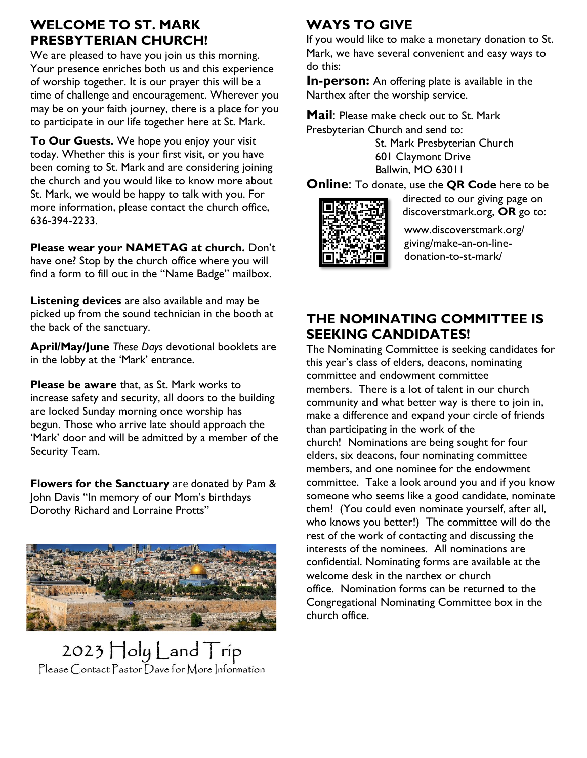# **WELCOME TO ST. MARK PRESBYTERIAN CHURCH!**

We are pleased to have you join us this morning. Your presence enriches both us and this experience of worship together. It is our prayer this will be a time of challenge and encouragement. Wherever you may be on your faith journey, there is a place for you to participate in our life together here at St. Mark.

**To Our Guests.** We hope you enjoy your visit today. Whether this is your first visit, or you have been coming to St. Mark and are considering joining the church and you would like to know more about St. Mark, we would be happy to talk with you. For more information, please contact the church office, 636-394-2233.

**Please wear your NAMETAG at church.** Don't have one? Stop by the church office where you will find a form to fill out in the "Name Badge" mailbox.

**Listening devices** are also available and may be picked up from the sound technician in the booth at the back of the sanctuary.

**April/May/June** *These Days* devotional booklets are in the lobby at the 'Mark' entrance.

**Please be aware** that, as St. Mark works to increase safety and security, all doors to the building are locked Sunday morning once worship has begun. Those who arrive late should approach the 'Mark' door and will be admitted by a member of the Security Team.

**Flowers for the Sanctuary** are donated by Pam & John Davis "In memory of our Mom's birthdays Dorothy Richard and Lorraine Protts"



 $2023$   $\text{Holy}$   $\text{Land}$   $\text{Trip}$ Please Contact Pastor Dave for More Information

# **WAYS TO GIVE**

If you would like to make a monetary donation to St. Mark, we have several convenient and easy ways to do this:

**In-person:** An offering plate is available in the Narthex after the worship service.

**Mail**: Please make check out to St. Mark Presbyterian Church and send to:

> St. Mark Presbyterian Church 601 Claymont Drive Ballwin, MO 63011

**Online**: To donate, use the **QR Code** here to be



directed to our giving page on discoverstmark.org, **OR** go to:

www.discoverstmark.org/ giving/make-an-on-linedonation-to-st-mark/

# **THE NOMINATING COMMITTEE IS SEEKING CANDIDATES!**

The Nominating Committee is seeking candidates for this year's class of elders, deacons, nominating committee and endowment committee members. There is a lot of talent in our church community and what better way is there to join in, make a difference and expand your circle of friends than participating in the work of the church! Nominations are being sought for four elders, six deacons, four nominating committee members, and one nominee for the endowment committee. Take a look around you and if you know someone who seems like a good candidate, nominate them! (You could even nominate yourself, after all, who knows you better!) The committee will do the rest of the work of contacting and discussing the interests of the nominees. All nominations are confidential. Nominating forms are available at the welcome desk in the narthex or church office. Nomination forms can be returned to the Congregational Nominating Committee box in the church office.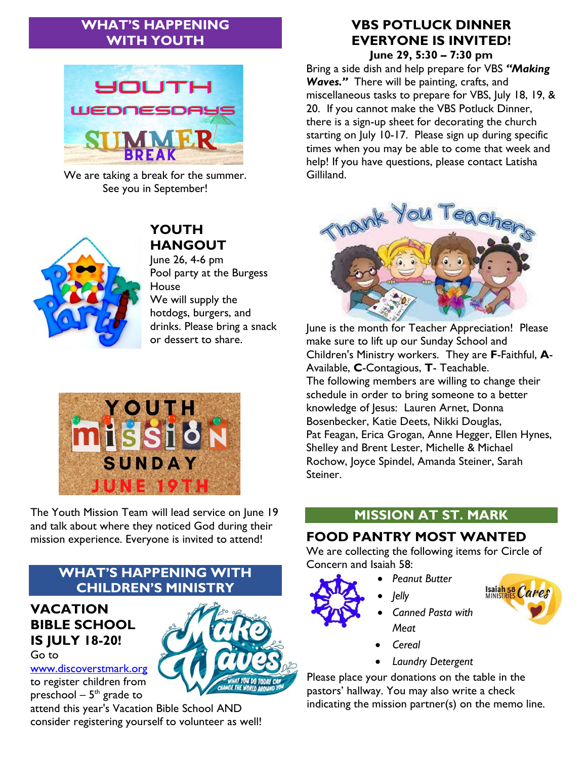# **WHAT'S HAPPENING WITH YOUTH**



We are taking a break for the summer. See you in September!



# **YOUTH HANGOUT**

June 26, 4-6 pm Pool party at the Burgess **House** We will supply the hotdogs, burgers, and drinks. Please bring a snack or dessert to share.



The Youth Mission Team will lead service on June 19 and talk about where they noticed God during their mission experience. Everyone is invited to attend!

# **WHAT'S HAPPENING WITH CHILDREN'S MINISTRY**

#### **VACATION BIBLE SCHOOL IS JULY 18-20!**  Go to

[www.discoverstmark.org](http://www.discoverstmark.org/) to register children from preschool –  $5^{\text{th}}$  grade to

attend this year's Vacation Bible School AND consider registering yourself to volunteer as well!

## **VBS POTLUCK DINNER EVERYONE IS INVITED! June 29, 5:30 – 7:30 pm**

Bring a side dish and help prepare for VBS *"Making Waves."* There will be painting, crafts, and miscellaneous tasks to prepare for VBS, July 18, 19, & 20. If you cannot make the VBS Potluck Dinner, there is a sign-up sheet for decorating the church starting on July 10-17. Please sign up during specific times when you may be able to come that week and help! If you have questions, please contact Latisha Gilliland.



June is the month for Teacher Appreciation! Please make sure to lift up our Sunday School and Children's Ministry workers. They are **F**-Faithful, **A**-Available, **C**-Contagious, **T**- Teachable. The following members are willing to change their schedule in order to bring someone to a better knowledge of Jesus: Lauren Arnet, Donna Bosenbecker, Katie Deets, Nikki Douglas, Pat Feagan, Erica Grogan, Anne Hegger, Ellen Hynes, Shelley and Brent Lester, Michelle & Michael Rochow, Joyce Spindel, Amanda Steiner, Sarah Steiner.

# **MISSION AT ST. MARK**

# **FOOD PANTRY MOST WANTED**

We are collecting the following items for Circle of Concern and Isaiah 58:

- *Peanut Butter*
- *Jelly*
- 



- *Meat*
- *Cereal*
- *Laundry Detergent*

Please place your donations on the table in the pastors' hallway. You may also write a check indicating the mission partner(s) on the memo line.

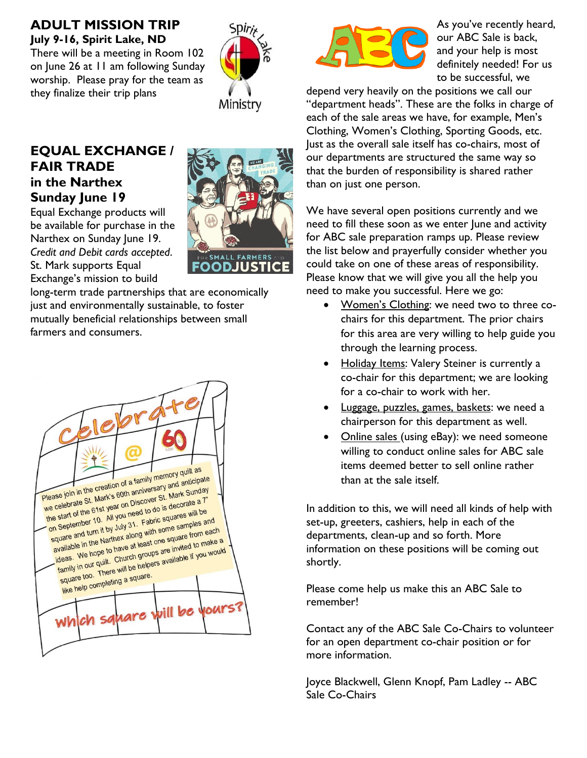## **ADULT MISSION TRIP July 9-16, Spirit Lake, ND**

There will be a meeting in Room 102 on June 26 at 11 am following Sunday worship. Please pray for the team as they finalize their trip plans



# **EQUAL EXCHANGE / FAIR TRADE in the Narthex Sunday June 19**

Equal Exchange products will be available for purchase in the Narthex on Sunday June 19. *Credit and Debit cards accepted*. St. Mark supports Equal Exchange's mission to build

**SMALL FARMER** FOODJUSTIC

long-term trade partnerships that are economically just and environmentally sustainable, to foster mutually beneficial relationships between small farmers and consumers.





As you've recently heard, our ABC Sale is back, and your help is most definitely needed! For us to be successful, we

depend very heavily on the positions we call our "department heads". These are the folks in charge of each of the sale areas we have, for example, Men's Clothing, Women's Clothing, Sporting Goods, etc. Just as the overall sale itself has co-chairs, most of our departments are structured the same way so that the burden of responsibility is shared rather than on just one person.

We have several open positions currently and we need to fill these soon as we enter June and activity for ABC sale preparation ramps up. Please review the list below and prayerfully consider whether you could take on one of these areas of responsibility. Please know that we will give you all the help you need to make you successful. Here we go:

- Women's Clothing: we need two to three cochairs for this department. The prior chairs for this area are very willing to help guide you through the learning process.
- Holiday Items: Valery Steiner is currently a co-chair for this department; we are looking for a co-chair to work with her.
- Luggage, puzzles, games, baskets: we need a chairperson for this department as well.
- Online sales (using eBay): we need someone willing to conduct online sales for ABC sale items deemed better to sell online rather than at the sale itself.

In addition to this, we will need all kinds of help with set-up, greeters, cashiers, help in each of the departments, clean-up and so forth. More information on these positions will be coming out shortly.

Please come help us make this an ABC Sale to remember!

Contact any of the ABC Sale Co-Chairs to volunteer for an open department co-chair position or for more information.

Joyce Blackwell, Glenn Knopf, Pam Ladley -- ABC Sale Co-Chairs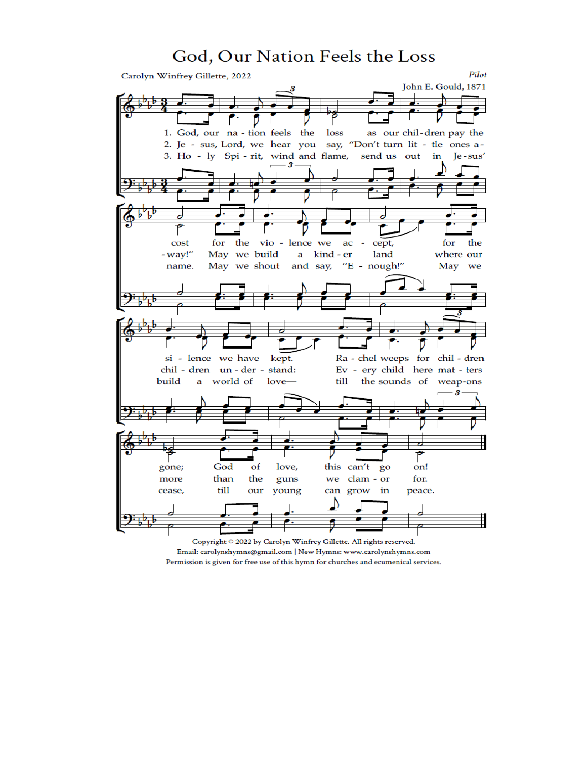# God, Our Nation Feels the Loss



Copyright © 2022 by Carolyn Winfrey Gillette. All rights reserved. Email: carolynshymns@gmail.com | New Hymns: www.carolynshymns.com Permission is given for free use of this hymn for churches and ecumenical services.